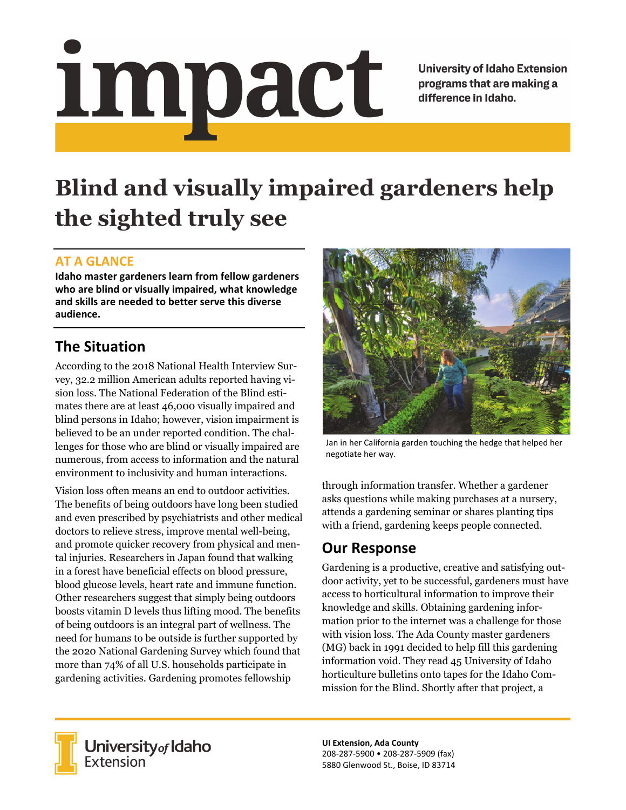# <u>impact</u>

**University of Idaho Extension** programs that are making a difference in Idaho.

# **Blind and visually impaired gardeners help the sighted truly see**

### **AT A GLANCE**

**Idaho master gardeners learn from fellow gardeners who are blind or visually impaired, what knowledge and skills are needed to better serve this diverse audience.**

# **The Situation**

According to the 2018 National Health Interview Survey, 32.2 million American adults reported having vision loss. The National Federation of the Blind estimates there are at least 46,000 visually impaired and blind persons in Idaho; however, vision impairment is believed to be an under reported condition. The challenges for those who are blind or visually impaired are numerous, from access to information and the natural environment to inclusivity and human interactions.

Vision loss often means an end to outdoor activities. The benefits of being outdoors have long been studied and even prescribed by psychiatrists and other medical doctors to relieve stress, improve mental well-being, and promote quicker recovery from physical and mental injuries. Researchers in Japan found that walking in a forest have beneficial effects on blood pressure, blood glucose levels, heart rate and immune function. Other researchers suggest that simply being outdoors boosts vitamin D levels thus lifting mood. The benefits of being outdoors is an integral part of wellness. The need for humans to be outside is further supported by the 2020 National Gardening Survey which found that more than 74% of all U.S. households participate in gardening activities. Gardening promotes fellowship



Jan in her California garden touching the hedge that helped her negotiate her way.

through information transfer. Whether a gardener asks questions while making purchases at a nursery, attends a gardening seminar or shares planting tips with a friend, gardening keeps people connected.

## **Our Response**

Gardening is a productive, creative and satisfying outdoor activity, yet to be successful, gardeners must have access to horticultural information to improve their knowledge and skills. Obtaining gardening information prior to the internet was a challenge for those with vision loss. The Ada County master gardeners (MG) back in 1991 decided to help fill this gardening information void. They read 45 University of Idaho horticulture bulletins onto tapes for the Idaho Commission for the Blind. Shortly after that project, a



University of Idaho<br>Extension

**UI Extension, Ada County** 208‐287‐5900 • 208‐287‐5909 (fax) 5880 Glenwood St., Boise, ID 83714